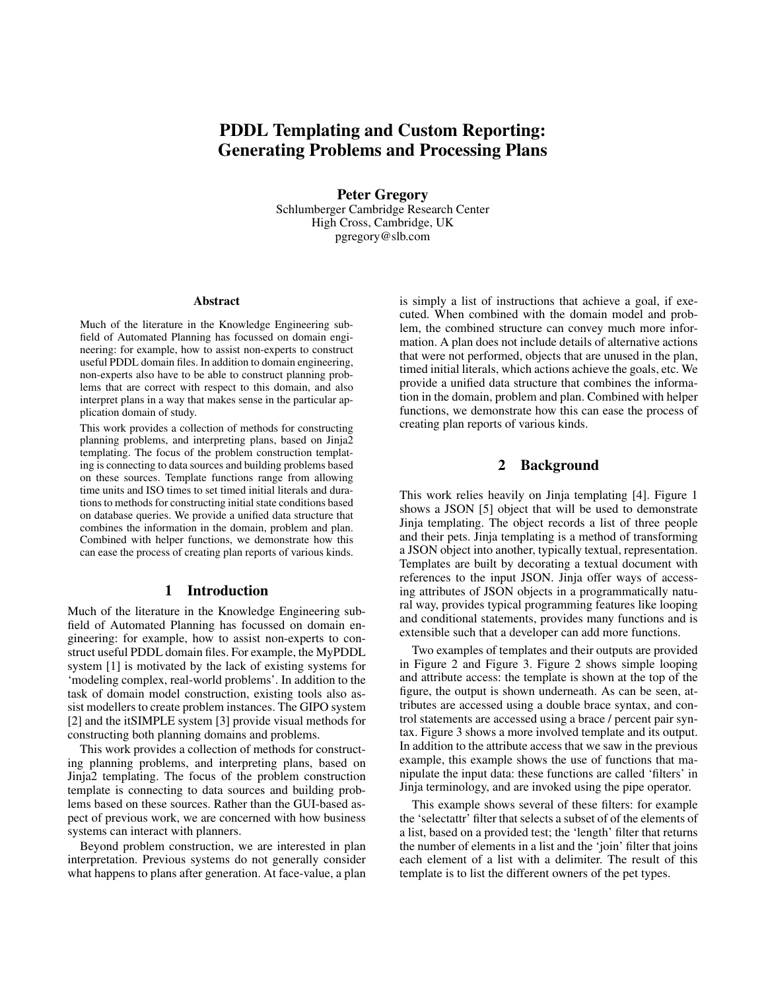# PDDL Templating and Custom Reporting: Generating Problems and Processing Plans

Peter Gregory Schlumberger Cambridge Research Center High Cross, Cambridge, UK pgregory@slb.com

#### Abstract

Much of the literature in the Knowledge Engineering subfield of Automated Planning has focussed on domain engineering: for example, how to assist non-experts to construct useful PDDL domain files. In addition to domain engineering, non-experts also have to be able to construct planning problems that are correct with respect to this domain, and also interpret plans in a way that makes sense in the particular application domain of study.

This work provides a collection of methods for constructing planning problems, and interpreting plans, based on Jinja2 templating. The focus of the problem construction templating is connecting to data sources and building problems based on these sources. Template functions range from allowing time units and ISO times to set timed initial literals and durations to methods for constructing initial state conditions based on database queries. We provide a unified data structure that combines the information in the domain, problem and plan. Combined with helper functions, we demonstrate how this can ease the process of creating plan reports of various kinds.

### 1 Introduction

Much of the literature in the Knowledge Engineering subfield of Automated Planning has focussed on domain engineering: for example, how to assist non-experts to construct useful PDDL domain files. For example, the MyPDDL system [1] is motivated by the lack of existing systems for 'modeling complex, real-world problems'. In addition to the task of domain model construction, existing tools also assist modellers to create problem instances. The GIPO system [2] and the itSIMPLE system [3] provide visual methods for constructing both planning domains and problems.

This work provides a collection of methods for constructing planning problems, and interpreting plans, based on Jinja2 templating. The focus of the problem construction template is connecting to data sources and building problems based on these sources. Rather than the GUI-based aspect of previous work, we are concerned with how business systems can interact with planners.

Beyond problem construction, we are interested in plan interpretation. Previous systems do not generally consider what happens to plans after generation. At face-value, a plan

is simply a list of instructions that achieve a goal, if executed. When combined with the domain model and problem, the combined structure can convey much more information. A plan does not include details of alternative actions that were not performed, objects that are unused in the plan, timed initial literals, which actions achieve the goals, etc. We provide a unified data structure that combines the information in the domain, problem and plan. Combined with helper functions, we demonstrate how this can ease the process of creating plan reports of various kinds.

### 2 Background

This work relies heavily on Jinja templating [4]. Figure 1 shows a JSON [5] object that will be used to demonstrate Jinja templating. The object records a list of three people and their pets. Jinja templating is a method of transforming a JSON object into another, typically textual, representation. Templates are built by decorating a textual document with references to the input JSON. Jinja offer ways of accessing attributes of JSON objects in a programmatically natural way, provides typical programming features like looping and conditional statements, provides many functions and is extensible such that a developer can add more functions.

Two examples of templates and their outputs are provided in Figure 2 and Figure 3. Figure 2 shows simple looping and attribute access: the template is shown at the top of the figure, the output is shown underneath. As can be seen, attributes are accessed using a double brace syntax, and control statements are accessed using a brace / percent pair syntax. Figure 3 shows a more involved template and its output. In addition to the attribute access that we saw in the previous example, this example shows the use of functions that manipulate the input data: these functions are called 'filters' in Jinja terminology, and are invoked using the pipe operator.

This example shows several of these filters: for example the 'selectattr' filter that selects a subset of of the elements of a list, based on a provided test; the 'length' filter that returns the number of elements in a list and the 'join' filter that joins each element of a list with a delimiter. The result of this template is to list the different owners of the pet types.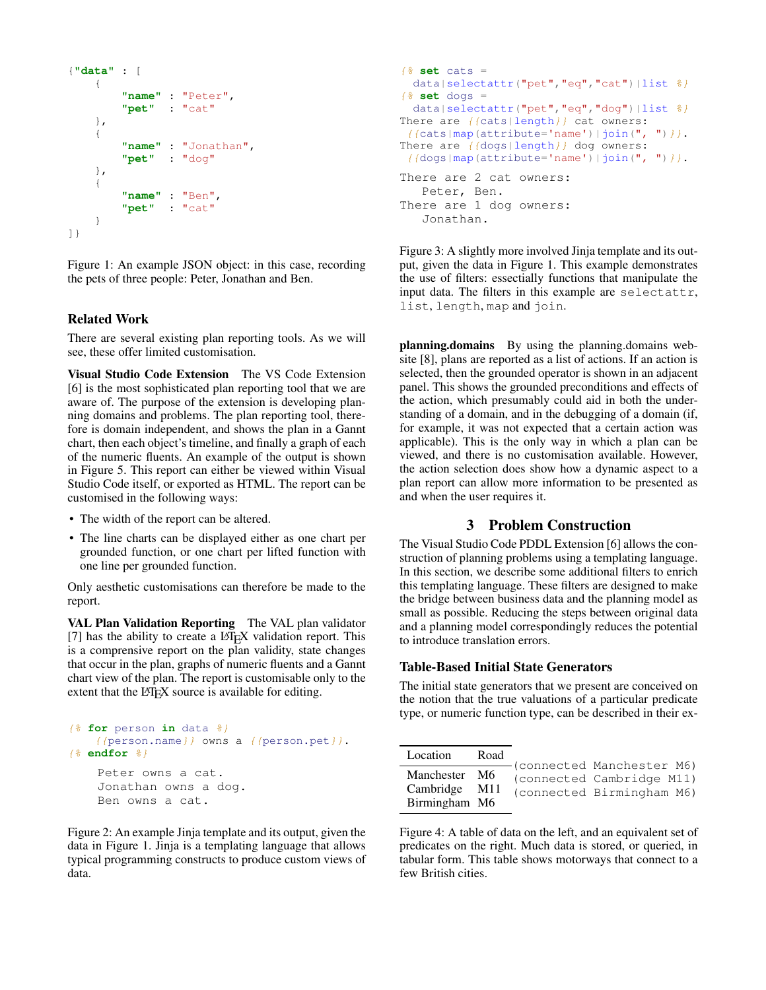```
{"data" : [
    {
         "name" : "Peter",
         "pet" : "cat"
    },
    {
         "name" : "Jonathan",
         "pet" : "dog"
    },
    {
         "name" : "Ben",
         "pet" : "cat"
    }
]}
```
Figure 1: An example JSON object: in this case, recording the pets of three people: Peter, Jonathan and Ben.

### Related Work

There are several existing plan reporting tools. As we will see, these offer limited customisation.

Visual Studio Code Extension The VS Code Extension [6] is the most sophisticated plan reporting tool that we are aware of. The purpose of the extension is developing planning domains and problems. The plan reporting tool, therefore is domain independent, and shows the plan in a Gannt chart, then each object's timeline, and finally a graph of each of the numeric fluents. An example of the output is shown in Figure 5. This report can either be viewed within Visual Studio Code itself, or exported as HTML. The report can be customised in the following ways:

- The width of the report can be altered.
- The line charts can be displayed either as one chart per grounded function, or one chart per lifted function with one line per grounded function.

Only aesthetic customisations can therefore be made to the report.

VAL Plan Validation Reporting The VAL plan validator  $[7]$  has the ability to create a  $\mathbb{E} F[X]$  validation report. This is a comprensive report on the plan validity, state changes that occur in the plan, graphs of numeric fluents and a Gannt chart view of the plan. The report is customisable only to the extent that the LATEX source is available for editing.

```
{% for person in data %}
    {{person.name}} owns a {{person.pet}}.
{% endfor %}
   Peter owns a cat.
    Jonathan owns a dog.
    Ben owns a cat.
```
Figure 2: An example Jinja template and its output, given the data in Figure 1. Jinja is a templating language that allows typical programming constructs to produce custom views of data.

```
\frac{1}{6} set cats =
  data|selectattr("pet","eq","cat")|list \frac{2}{9}}
\frac{1}{6} set dogs =
  data|selectattr("pet","eq","dog")|list \frac{2}{7}}
There are \{ \{ \text{cats} | \text{length} \} \} cat owners:
{({\text{cats}}|map({\text{attribute}}='name'))|join(", "))}.There are {{dogs|length}} dog owners:
 {\f{dogs|map(attribute='name'))|join(", ")}}.There are 2 cat owners:
    Peter, Ben.
There are 1 dog owners:
    Jonathan.
```
Figure 3: A slightly more involved Jinja template and its output, given the data in Figure 1. This example demonstrates the use of filters: essectially functions that manipulate the input data. The filters in this example are selectattr, list, length, map and join.

planning.domains By using the planning.domains website [8], plans are reported as a list of actions. If an action is selected, then the grounded operator is shown in an adjacent panel. This shows the grounded preconditions and effects of the action, which presumably could aid in both the understanding of a domain, and in the debugging of a domain (if, for example, it was not expected that a certain action was applicable). This is the only way in which a plan can be viewed, and there is no customisation available. However, the action selection does show how a dynamic aspect to a plan report can allow more information to be presented as and when the user requires it.

### 3 Problem Construction

The Visual Studio Code PDDL Extension [6] allows the construction of planning problems using a templating language. In this section, we describe some additional filters to enrich this templating language. These filters are designed to make the bridge between business data and the planning model as small as possible. Reducing the steps between original data and a planning model correspondingly reduces the potential to introduce translation errors.

### Table-Based Initial State Generators

The initial state generators that we present are conceived on the notion that the true valuations of a particular predicate type, or numeric function type, can be described in their ex-

| Location                                        | Road | -(connected Manchester M6)                             |
|-------------------------------------------------|------|--------------------------------------------------------|
| Manchester M6<br>Cambridge M11<br>Birmingham M6 |      | (connected Cambridge M11)<br>(connected Birmingham M6) |

Figure 4: A table of data on the left, and an equivalent set of predicates on the right. Much data is stored, or queried, in tabular form. This table shows motorways that connect to a few British cities.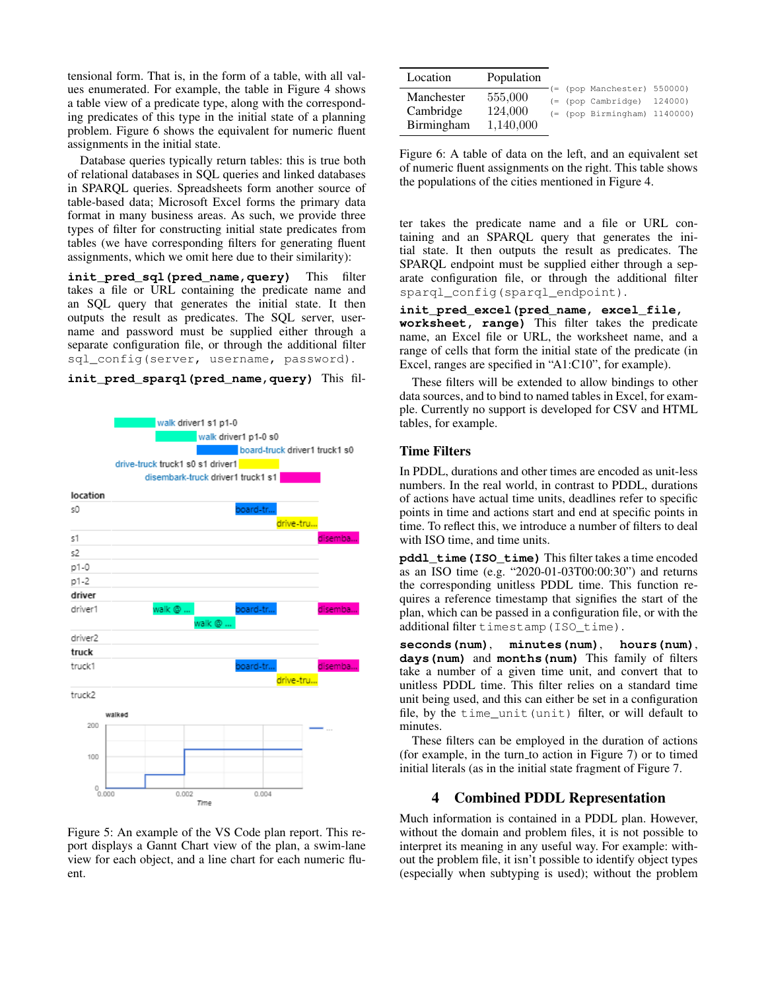tensional form. That is, in the form of a table, with all values enumerated. For example, the table in Figure 4 shows a table view of a predicate type, along with the corresponding predicates of this type in the initial state of a planning problem. Figure 6 shows the equivalent for numeric fluent assignments in the initial state.

Database queries typically return tables: this is true both of relational databases in SQL queries and linked databases in SPARQL queries. Spreadsheets form another source of table-based data; Microsoft Excel forms the primary data format in many business areas. As such, we provide three types of filter for constructing initial state predicates from tables (we have corresponding filters for generating fluent assignments, which we omit here due to their similarity):

init pred sql(pred name, query) This filter takes a file or URL containing the predicate name and an SQL query that generates the initial state. It then outputs the result as predicates. The SQL server, username and password must be supplied either through a separate configuration file, or through the additional filter sql\_config(server, username, password).

**init\_pred\_sparql(pred\_name,query)** This fil-



Figure 5: An example of the VS Code plan report. This report displays a Gannt Chart view of the plan, a swim-lane view for each object, and a line chart for each numeric fluent.

| Location   | Population |  |                                  |  |
|------------|------------|--|----------------------------------|--|
|            |            |  | $(-$ (pop Manchester) 550000)    |  |
| Manchester | 555,000    |  | $(= (pop Cambridge) 124000)$     |  |
| Cambridge  | 124,000    |  | $($ (pop Birmingham) $1140000$ ) |  |
| Birmingham | 1,140,000  |  |                                  |  |

Figure 6: A table of data on the left, and an equivalent set of numeric fluent assignments on the right. This table shows the populations of the cities mentioned in Figure 4.

ter takes the predicate name and a file or URL containing and an SPARQL query that generates the initial state. It then outputs the result as predicates. The SPARQL endpoint must be supplied either through a separate configuration file, or through the additional filter sparql\_config(sparql\_endpoint).

**init\_pred\_excel(pred\_name, excel\_file, worksheet, range)** This filter takes the predicate name, an Excel file or URL, the worksheet name, and a range of cells that form the initial state of the predicate (in Excel, ranges are specified in "A1:C10", for example).

These filters will be extended to allow bindings to other data sources, and to bind to named tables in Excel, for example. Currently no support is developed for CSV and HTML tables, for example.

### Time Filters

In PDDL, durations and other times are encoded as unit-less numbers. In the real world, in contrast to PDDL, durations of actions have actual time units, deadlines refer to specific points in time and actions start and end at specific points in time. To reflect this, we introduce a number of filters to deal with ISO time, and time units.

**pddl\_time(ISO\_time)** This filter takes a time encoded as an ISO time (e.g. "2020-01-03T00:00:30") and returns the corresponding unitless PDDL time. This function requires a reference timestamp that signifies the start of the plan, which can be passed in a configuration file, or with the additional filter timestamp(ISO\_time).

**seconds(num)**, **minutes(num)**, **hours(num)**, **days(num)** and **months(num)** This family of filters take a number of a given time unit, and convert that to unitless PDDL time. This filter relies on a standard time unit being used, and this can either be set in a configuration file, by the time\_unit(unit) filter, or will default to minutes.

These filters can be employed in the duration of actions (for example, in the turn to action in Figure 7) or to timed initial literals (as in the initial state fragment of Figure 7.

# 4 Combined PDDL Representation

Much information is contained in a PDDL plan. However, without the domain and problem files, it is not possible to interpret its meaning in any useful way. For example: without the problem file, it isn't possible to identify object types (especially when subtyping is used); without the problem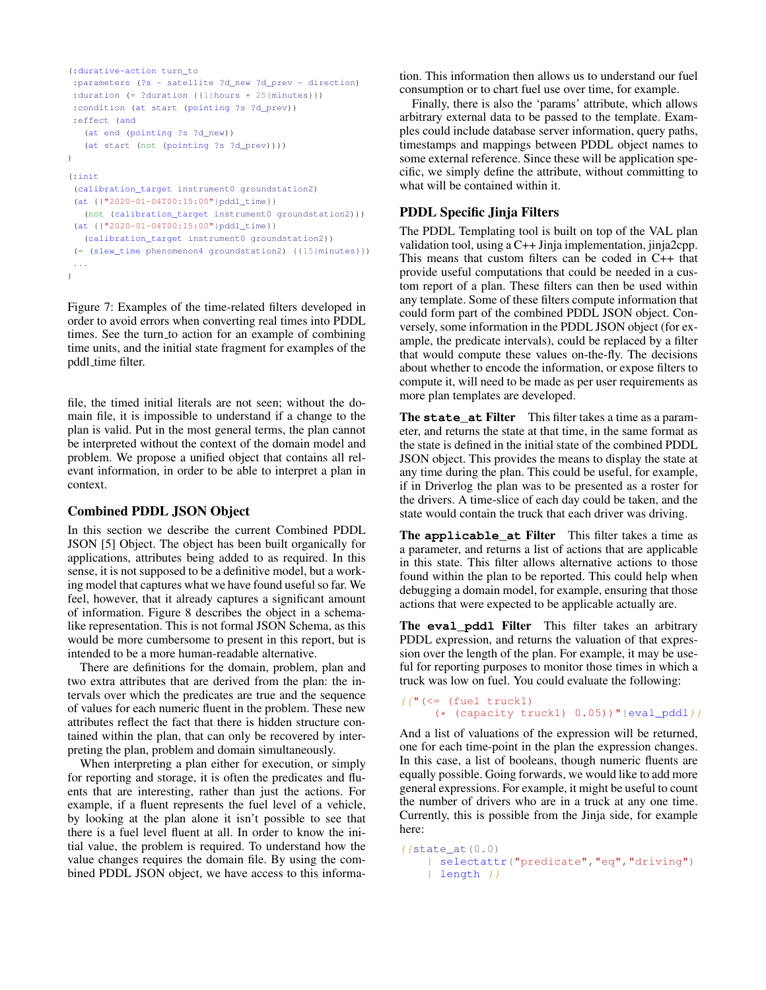```
(:durative-action turn_to
:parameters (?s - satellite ?d_new ?d_prev - direction)
 :duration (= ?duration {{1|hours + 25|minutes}})
 :condition (at start (pointing ?s ?d_prev))
:effect (and
   (at end (pointing ?s ?d_new))
   (at start (not (pointing ?s ?d_prev))))
)
(:init
 (calibration_target instrument0 groundstation2)
 (at {{"2020-01-04T00:15:00"|pddl_time}}
  (not (calibration_target instrument0 groundstation2)))
 (at {{"2020-01-04T00:15:00"|pddl_time}}
  (calibration_target instrument0 groundstation2))
 (= (slew_time phenomenon4 groundstation2) {{15|minutes}})
 ...
)
```
Figure 7: Examples of the time-related filters developed in order to avoid errors when converting real times into PDDL times. See the turn to action for an example of combining time units, and the initial state fragment for examples of the pddl\_time filter.

file, the timed initial literals are not seen; without the domain file, it is impossible to understand if a change to the plan is valid. Put in the most general terms, the plan cannot be interpreted without the context of the domain model and problem. We propose a unified object that contains all relevant information, in order to be able to interpret a plan in context.

#### Combined PDDL JSON Object

In this section we describe the current Combined PDDL JSON [5] Object. The object has been built organically for applications, attributes being added to as required. In this sense, it is not supposed to be a definitive model, but a working model that captures what we have found useful so far. We feel, however, that it already captures a significant amount of information. Figure 8 describes the object in a schemalike representation. This is not formal JSON Schema, as this would be more cumbersome to present in this report, but is intended to be a more human-readable alternative.

There are definitions for the domain, problem, plan and two extra attributes that are derived from the plan: the intervals over which the predicates are true and the sequence of values for each numeric fluent in the problem. These new attributes reflect the fact that there is hidden structure contained within the plan, that can only be recovered by interpreting the plan, problem and domain simultaneously.

When interpreting a plan either for execution, or simply for reporting and storage, it is often the predicates and fluents that are interesting, rather than just the actions. For example, if a fluent represents the fuel level of a vehicle, by looking at the plan alone it isn't possible to see that there is a fuel level fluent at all. In order to know the initial value, the problem is required. To understand how the value changes requires the domain file. By using the combined PDDL JSON object, we have access to this informa-

tion. This information then allows us to understand our fuel consumption or to chart fuel use over time, for example.

Finally, there is also the 'params' attribute, which allows arbitrary external data to be passed to the template. Examples could include database server information, query paths, timestamps and mappings between PDDL object names to some external reference. Since these will be application specific, we simply define the attribute, without committing to what will be contained within it.

# PDDL Specific Jinja Filters

The PDDL Templating tool is built on top of the VAL plan validation tool, using a C++ Jinja implementation, jinja2cpp. This means that custom filters can be coded in C++ that provide useful computations that could be needed in a custom report of a plan. These filters can then be used within any template. Some of these filters compute information that could form part of the combined PDDL JSON object. Conversely, some information in the PDDL JSON object (for example, the predicate intervals), could be replaced by a filter that would compute these values on-the-fly. The decisions about whether to encode the information, or expose filters to compute it, will need to be made as per user requirements as more plan templates are developed.

The **state\_at** Filter This filter takes a time as a parameter, and returns the state at that time, in the same format as the state is defined in the initial state of the combined PDDL JSON object. This provides the means to display the state at any time during the plan. This could be useful, for example, if in Driverlog the plan was to be presented as a roster for the drivers. A time-slice of each day could be taken, and the state would contain the truck that each driver was driving.

The **applicable\_at** Filter This filter takes a time as a parameter, and returns a list of actions that are applicable in this state. This filter allows alternative actions to those found within the plan to be reported. This could help when debugging a domain model, for example, ensuring that those actions that were expected to be applicable actually are.

The **eval\_pddl** Filter This filter takes an arbitrary PDDL expression, and returns the valuation of that expression over the length of the plan. For example, it may be useful for reporting purposes to monitor those times in which a truck was low on fuel. You could evaluate the following:

```
{f} (\leq (fuel truck1)
     (* (capacity truck1) 0.05)) "|eval pddl}}
```
And a list of valuations of the expression will be returned, one for each time-point in the plan the expression changes. In this case, a list of booleans, though numeric fluents are equally possible. Going forwards, we would like to add more general expressions. For example, it might be useful to count the number of drivers who are in a truck at any one time. Currently, this is possible from the Jinja side, for example here:

```
{{state_at(0.0)
   | selectattr("predicate","eq","driving")
   | length |
```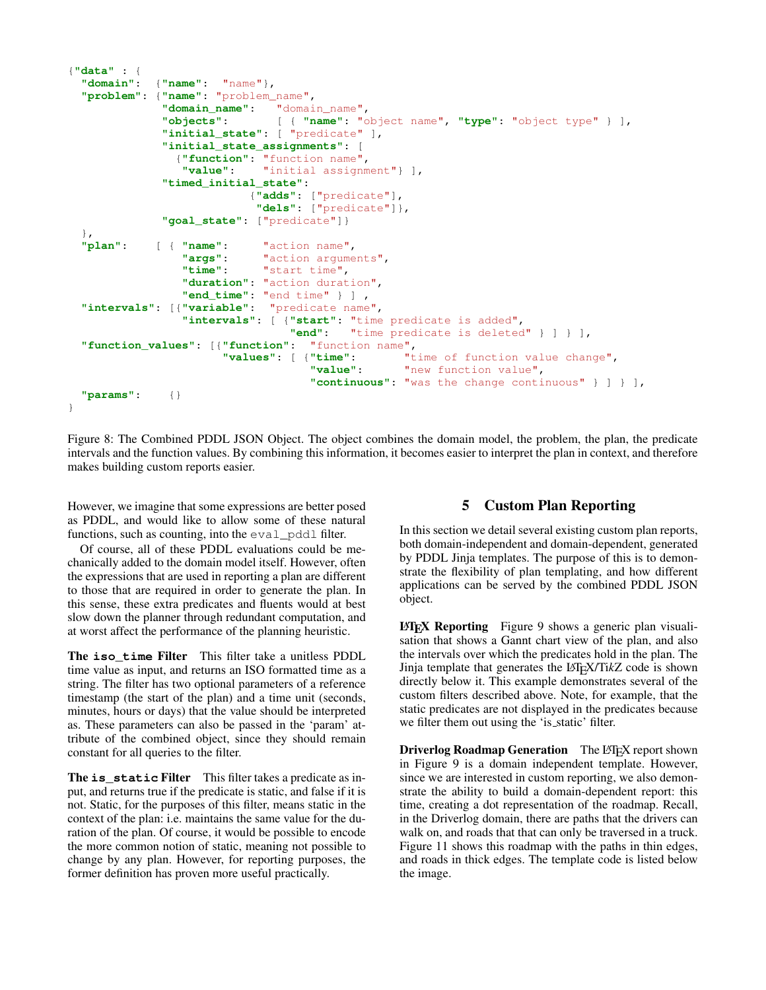```
{"data" : {
 "domain": {"name": "name"},
 "problem": {"name": "problem_name",
             "domain_name": "domain_name",
             "objects": [ { "name": "object name", "type": "object type" } ],
             "initial_state": [ "predicate" ],
             "initial_state_assignments": [
               {"function": "function name",
                "value": "initial assignment"} ],
             "timed_initial_state":
                          {"adds": ["predicate"],
                           "dels": ["predicate"]},
             "goal_state": ["predicate"]}
 },
 "plan": [ { "name": "action name",
                "args": "action arguments",
                "time": "start time",
                "duration": "action duration",
                "end_time": "end time" } ] ,
  "intervals": [{"variable": "predicate name",
                "intervals": [ {"start": "time predicate is added",
                                "end": "time predicate is deleted" } ] } ],
 "function_values": [{"function": "function name",
                                                 "time of function value change",
                                   "value": "new function value",
                                   "continuous": "was the change continuous" } ] } ],
  "params": {}
}
```
Figure 8: The Combined PDDL JSON Object. The object combines the domain model, the problem, the plan, the predicate intervals and the function values. By combining this information, it becomes easier to interpret the plan in context, and therefore makes building custom reports easier.

However, we imagine that some expressions are better posed as PDDL, and would like to allow some of these natural functions, such as counting, into the eval pddl filter.

Of course, all of these PDDL evaluations could be mechanically added to the domain model itself. However, often the expressions that are used in reporting a plan are different to those that are required in order to generate the plan. In this sense, these extra predicates and fluents would at best slow down the planner through redundant computation, and at worst affect the performance of the planning heuristic.

The **iso\_time** Filter This filter take a unitless PDDL time value as input, and returns an ISO formatted time as a string. The filter has two optional parameters of a reference timestamp (the start of the plan) and a time unit (seconds, minutes, hours or days) that the value should be interpreted as. These parameters can also be passed in the 'param' attribute of the combined object, since they should remain constant for all queries to the filter.

The **is\_static** Filter This filter takes a predicate as input, and returns true if the predicate is static, and false if it is not. Static, for the purposes of this filter, means static in the context of the plan: i.e. maintains the same value for the duration of the plan. Of course, it would be possible to encode the more common notion of static, meaning not possible to change by any plan. However, for reporting purposes, the former definition has proven more useful practically.

# 5 Custom Plan Reporting

In this section we detail several existing custom plan reports, both domain-independent and domain-dependent, generated by PDDL Jinja templates. The purpose of this is to demonstrate the flexibility of plan templating, and how different applications can be served by the combined PDDL JSON object.

 $\Delta E$ **EX** Reporting Figure 9 shows a generic plan visualisation that shows a Gannt chart view of the plan, and also the intervals over which the predicates hold in the plan. The Jinja template that generates the LATEX/Ti*k*Z code is shown directly below it. This example demonstrates several of the custom filters described above. Note, for example, that the static predicates are not displayed in the predicates because we filter them out using the 'is static' filter.

Driverlog Roadmap Generation The LATEX report shown in Figure 9 is a domain independent template. However, since we are interested in custom reporting, we also demonstrate the ability to build a domain-dependent report: this time, creating a dot representation of the roadmap. Recall, in the Driverlog domain, there are paths that the drivers can walk on, and roads that that can only be traversed in a truck. Figure 11 shows this roadmap with the paths in thin edges, and roads in thick edges. The template code is listed below the image.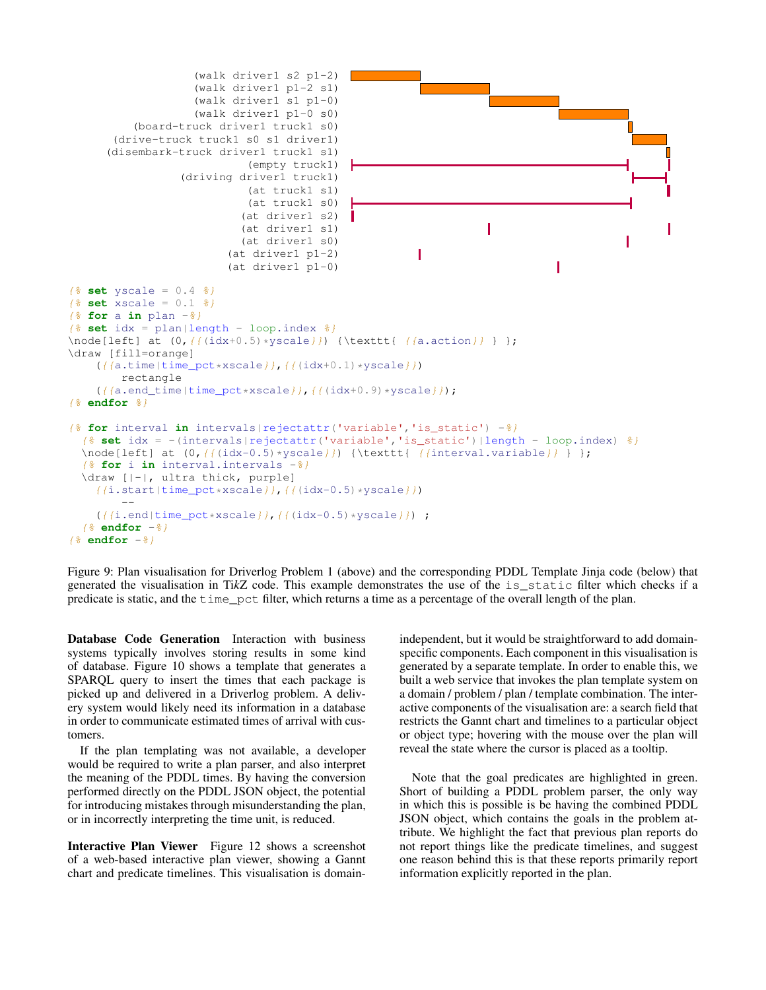```
(walk driver1 s2 p1-2)
                    (walk driver1 p1-2 s1)
                    (walk driver1 s1 p1-0)
                    (walk driver1 p1-0 s0)
          (board-truck driver1 truck1 s0)
       (drive-truck truck1 s0 s1 driver1)
      (disembark-truck driver1 truck1 s1)
                             (empty truck1)
                  (driving driver1 truck1)
                             (at truck1 s1)
                             (at truck1 s0)
                           (at driver1 s2)
                            (at driver1 s1)
                                                                    ı
                            (at driver1 s0)
                         (at driver1 p1-2)
                                                         ı
                         (at driver1 p1-0)
                                                                               ı
{% set yscale = 0.4 %}
{% set xscale = 0.1 %}
{% for a in plan -%}
\{\frac{2}{3} \text{ set } i dx = \text{plan}|\text{length} - \text{loop.index } \frac{2}{3}\}\node[left] at (0, {\{(idx+0.5) * yscale\}}) {\texttt{ ({a.action}} } };
\draw [fill=orange]
    ({(a.time|time_pct*xscale)}, ({(idx+0.1)*yscale})rectangle
    ({{a.end_time|time_pct*xscale}},{{(idx+0.9)*yscale}});
{% endfor %}
{% for interval in intervals|rejectattr('variable','is_static') -%}
  {% set idx = -(intervals|rejectattr('variable','is_static')|length - loop.index) %}
  \node[left] at (0, \{(idx-0.5) \times yscale\}) {\texttt{ (iinterval.value)\} };
  {% for i in interval.intervals -%}
 \draw [|-|, ultra thick, purple]
    {(i.start|time_pct*xscale)}, {((idx-0.5)*yscale)}})--
    ({(i.end|time_pct*xscale)}, ({(idx-0.5)*yscale}) ;
  {% endfor -%}
{% endfor -%}
```
Figure 9: Plan visualisation for Driverlog Problem 1 (above) and the corresponding PDDL Template Jinja code (below) that generated the visualisation in Ti*k*Z code. This example demonstrates the use of the is\_static filter which checks if a predicate is static, and the time\_pct filter, which returns a time as a percentage of the overall length of the plan.

Database Code Generation Interaction with business systems typically involves storing results in some kind of database. Figure 10 shows a template that generates a SPARQL query to insert the times that each package is picked up and delivered in a Driverlog problem. A delivery system would likely need its information in a database in order to communicate estimated times of arrival with customers.

If the plan templating was not available, a developer would be required to write a plan parser, and also interpret the meaning of the PDDL times. By having the conversion performed directly on the PDDL JSON object, the potential for introducing mistakes through misunderstanding the plan, or in incorrectly interpreting the time unit, is reduced.

Interactive Plan Viewer Figure 12 shows a screenshot of a web-based interactive plan viewer, showing a Gannt chart and predicate timelines. This visualisation is domain-

independent, but it would be straightforward to add domainspecific components. Each component in this visualisation is generated by a separate template. In order to enable this, we built a web service that invokes the plan template system on a domain / problem / plan / template combination. The interactive components of the visualisation are: a search field that restricts the Gannt chart and timelines to a particular object or object type; hovering with the mouse over the plan will reveal the state where the cursor is placed as a tooltip.

Note that the goal predicates are highlighted in green. Short of building a PDDL problem parser, the only way in which this is possible is be having the combined PDDL JSON object, which contains the goals in the problem attribute. We highlight the fact that previous plan reports do not report things like the predicate timelines, and suggest one reason behind this is that these reports primarily report information explicitly reported in the plan.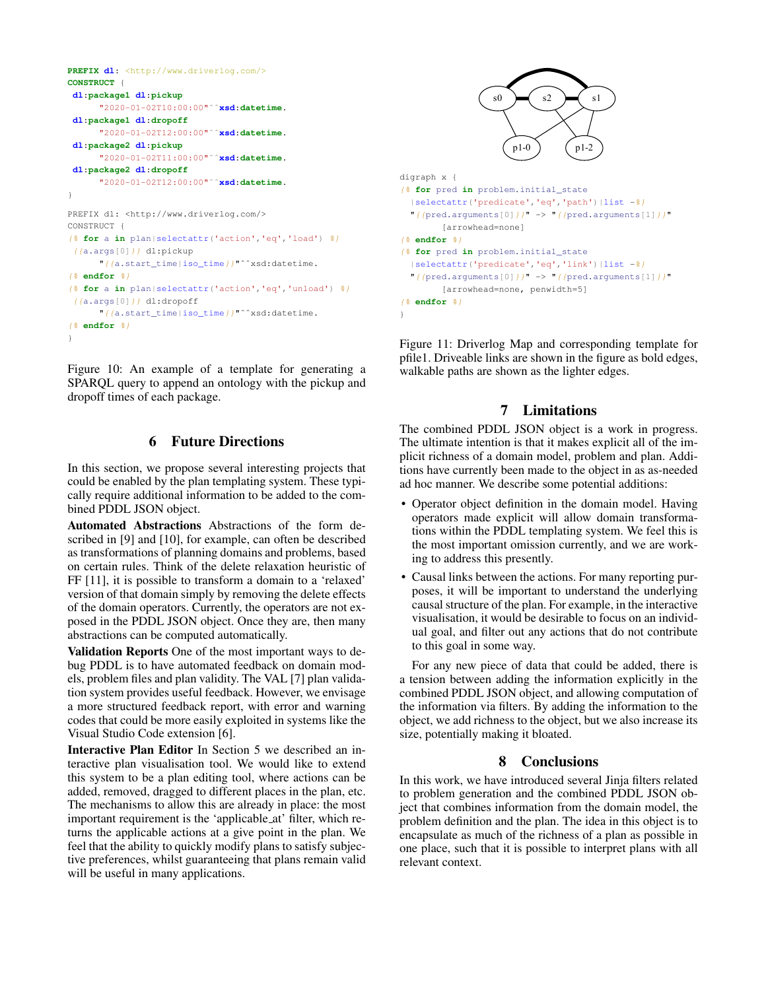```
PREFIX dl: <http://www.driverlog.com/>
CONSTRUCT {
dl:package1 dl:pickup
     "2020-01-02T10:00:00"ˆˆxsd:datetime.
dl:package1 dl:dropoff
      "2020-01-02T12:00:00"ˆˆxsd:datetime.
dl:package2 dl:pickup
     "2020-01-02T11:00:00"ˆˆxsd:datetime.
dl:package2 dl:dropoff
      "2020-01-02T12:00:00"ˆˆxsd:datetime.
}
PREFIX dl: <http://www.driverlog.com/>
CONSTRUCT {
{% for a in plan|selectattr('action','eq','load') %}
 {(a.args[0]/d1:pickup)}"{{a.start_time|iso_time}}"ˆˆxsd:datetime.
{% endfor %}
{% for a in plan|selectattr('action','eq','unload') %}
 {(a.args[0])} dl:dropoff
      "{{a.start_time|iso_time}}"ˆˆxsd:datetime.
{% endfor %}
}
```
Figure 10: An example of a template for generating a SPARQL query to append an ontology with the pickup and dropoff times of each package.

# 6 Future Directions

In this section, we propose several interesting projects that could be enabled by the plan templating system. These typically require additional information to be added to the combined PDDL JSON object.

Automated Abstractions Abstractions of the form described in [9] and [10], for example, can often be described as transformations of planning domains and problems, based on certain rules. Think of the delete relaxation heuristic of FF [11], it is possible to transform a domain to a 'relaxed' version of that domain simply by removing the delete effects of the domain operators. Currently, the operators are not exposed in the PDDL JSON object. Once they are, then many abstractions can be computed automatically.

Validation Reports One of the most important ways to debug PDDL is to have automated feedback on domain models, problem files and plan validity. The VAL [7] plan validation system provides useful feedback. However, we envisage a more structured feedback report, with error and warning codes that could be more easily exploited in systems like the Visual Studio Code extension [6].

Interactive Plan Editor In Section 5 we described an interactive plan visualisation tool. We would like to extend this system to be a plan editing tool, where actions can be added, removed, dragged to different places in the plan, etc. The mechanisms to allow this are already in place: the most important requirement is the 'applicable at' filter, which returns the applicable actions at a give point in the plan. We feel that the ability to quickly modify plans to satisfy subjective preferences, whilst guaranteeing that plans remain valid will be useful in many applications.



Figure 11: Driverlog Map and corresponding template for pfile1. Driveable links are shown in the figure as bold edges, walkable paths are shown as the lighter edges.

# 7 Limitations

The combined PDDL JSON object is a work in progress. The ultimate intention is that it makes explicit all of the implicit richness of a domain model, problem and plan. Additions have currently been made to the object in as as-needed ad hoc manner. We describe some potential additions:

- Operator object definition in the domain model. Having operators made explicit will allow domain transformations within the PDDL templating system. We feel this is the most important omission currently, and we are working to address this presently.
- Causal links between the actions. For many reporting purposes, it will be important to understand the underlying causal structure of the plan. For example, in the interactive visualisation, it would be desirable to focus on an individual goal, and filter out any actions that do not contribute to this goal in some way.

For any new piece of data that could be added, there is a tension between adding the information explicitly in the combined PDDL JSON object, and allowing computation of the information via filters. By adding the information to the object, we add richness to the object, but we also increase its size, potentially making it bloated.

# 8 Conclusions

In this work, we have introduced several Jinja filters related to problem generation and the combined PDDL JSON object that combines information from the domain model, the problem definition and the plan. The idea in this object is to encapsulate as much of the richness of a plan as possible in one place, such that it is possible to interpret plans with all relevant context.